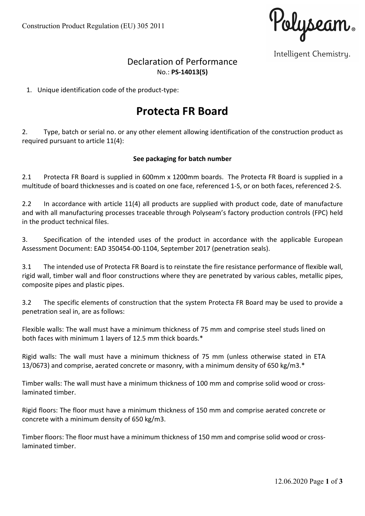Polyseam.

Intelligent Chemistry.

## Declaration of Performance No.: PS-14013(5)

1. Unique identification code of the product-type:

# Protecta FR Board

2. Type, batch or serial no. or any other element allowing identification of the construction product as required pursuant to article 11(4):

#### See packaging for batch number

2.1 Protecta FR Board is supplied in 600mm x 1200mm boards. The Protecta FR Board is supplied in a multitude of board thicknesses and is coated on one face, referenced 1-S, or on both faces, referenced 2-S.

2.2 In accordance with article 11(4) all products are supplied with product code, date of manufacture and with all manufacturing processes traceable through Polyseam's factory production controls (FPC) held in the product technical files.

3. Specification of the intended uses of the product in accordance with the applicable European Assessment Document: EAD 350454-00-1104, September 2017 (penetration seals).

3.1 The intended use of Protecta FR Board is to reinstate the fire resistance performance of flexible wall, rigid wall, timber wall and floor constructions where they are penetrated by various cables, metallic pipes, composite pipes and plastic pipes.

3.2 The specific elements of construction that the system Protecta FR Board may be used to provide a penetration seal in, are as follows:

Flexible walls: The wall must have a minimum thickness of 75 mm and comprise steel studs lined on both faces with minimum 1 layers of 12.5 mm thick boards.\*

Rigid walls: The wall must have a minimum thickness of 75 mm (unless otherwise stated in ETA 13/0673) and comprise, aerated concrete or masonry, with a minimum density of 650 kg/m3.\*

Timber walls: The wall must have a minimum thickness of 100 mm and comprise solid wood or crosslaminated timber.

Rigid floors: The floor must have a minimum thickness of 150 mm and comprise aerated concrete or concrete with a minimum density of 650 kg/m3.

Timber floors: The floor must have a minimum thickness of 150 mm and comprise solid wood or crosslaminated timber.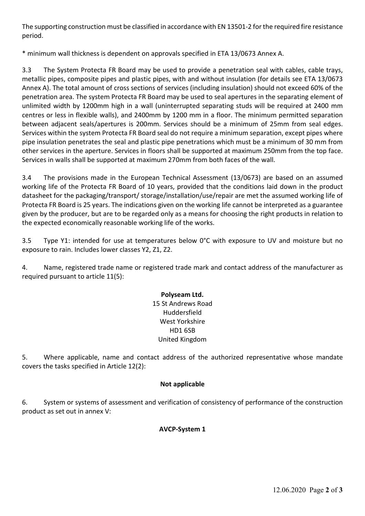The supporting construction must be classified in accordance with EN 13501-2 for the required fire resistance period.

\* minimum wall thickness is dependent on approvals specified in ETA 13/0673 Annex A.

3.3 The System Protecta FR Board may be used to provide a penetration seal with cables, cable trays, metallic pipes, composite pipes and plastic pipes, with and without insulation (for details see ETA 13/0673 Annex A). The total amount of cross sections of services (including insulation) should not exceed 60% of the penetration area. The system Protecta FR Board may be used to seal apertures in the separating element of unlimited width by 1200mm high in a wall (uninterrupted separating studs will be required at 2400 mm centres or less in flexible walls), and 2400mm by 1200 mm in a floor. The minimum permitted separation between adjacent seals/apertures is 200mm. Services should be a minimum of 25mm from seal edges. Services within the system Protecta FR Board seal do not require a minimum separation, except pipes where pipe insulation penetrates the seal and plastic pipe penetrations which must be a minimum of 30 mm from other services in the aperture. Services in floors shall be supported at maximum 250mm from the top face. Services in walls shall be supported at maximum 270mm from both faces of the wall.

3.4 The provisions made in the European Technical Assessment (13/0673) are based on an assumed working life of the Protecta FR Board of 10 years, provided that the conditions laid down in the product datasheet for the packaging/transport/ storage/installation/use/repair are met the assumed working life of Protecta FR Board is 25 years. The indications given on the working life cannot be interpreted as a guarantee given by the producer, but are to be regarded only as a means for choosing the right products in relation to the expected economically reasonable working life of the works.

3.5 Type Y1: intended for use at temperatures below 0°C with exposure to UV and moisture but no exposure to rain. Includes lower classes Y2, Z1, Z2.

4. Name, registered trade name or registered trade mark and contact address of the manufacturer as required pursuant to article 11(5):

#### Polyseam Ltd. 15 St Andrews Road Huddersfield West Yorkshire HD1 6SB United Kingdom

5. Where applicable, name and contact address of the authorized representative whose mandate covers the tasks specified in Article 12(2):

#### Not applicable

6. System or systems of assessment and verification of consistency of performance of the construction product as set out in annex V:

### AVCP-System 1